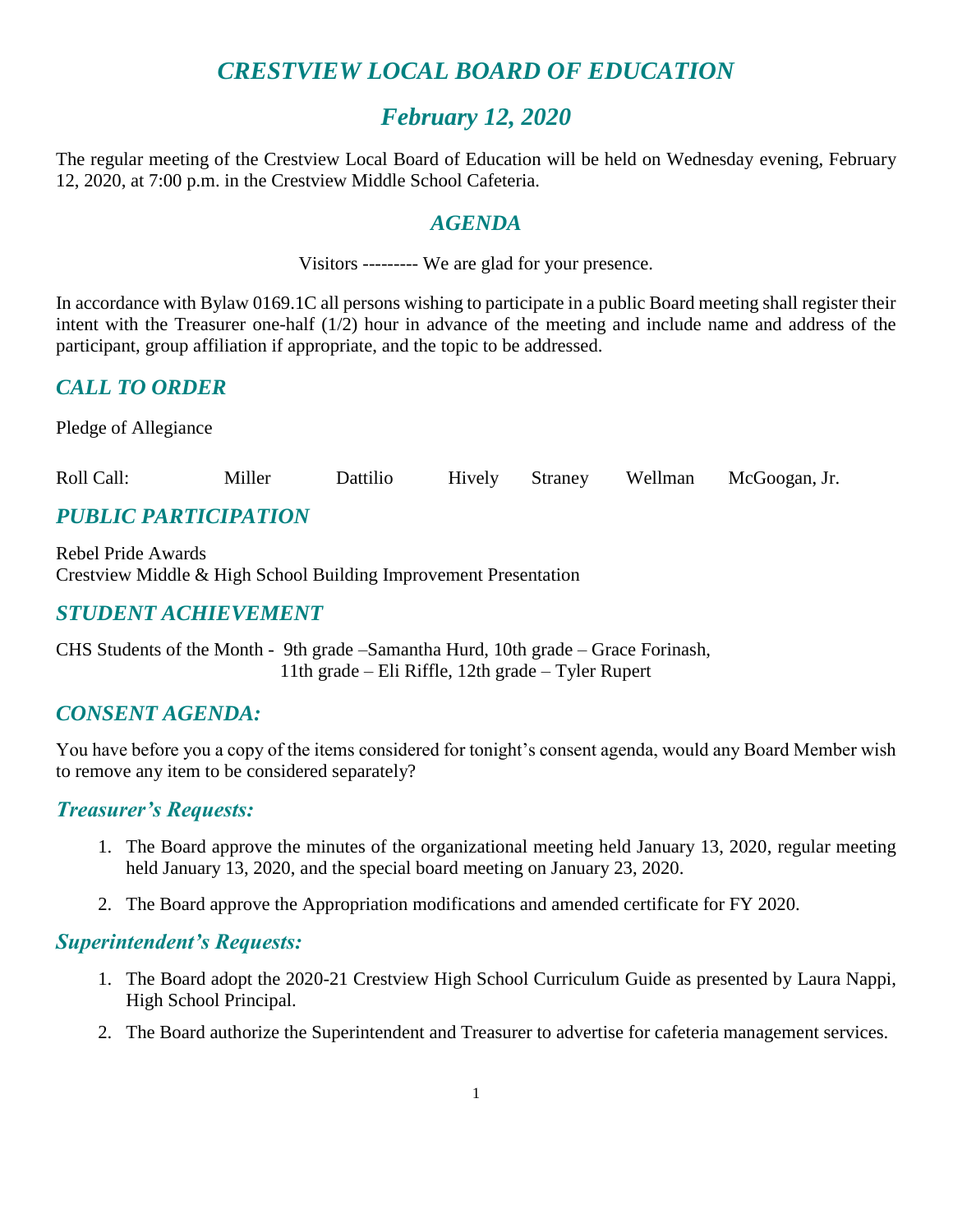# *CRESTVIEW LOCAL BOARD OF EDUCATION*

# *February 12, 2020*

The regular meeting of the Crestview Local Board of Education will be held on Wednesday evening, February 12, 2020, at 7:00 p.m. in the Crestview Middle School Cafeteria.

#### *AGENDA*

Visitors --------- We are glad for your presence.

In accordance with Bylaw 0169.1C all persons wishing to participate in a public Board meeting shall register their intent with the Treasurer one-half (1/2) hour in advance of the meeting and include name and address of the participant, group affiliation if appropriate, and the topic to be addressed.

### *CALL TO ORDER*

Pledge of Allegiance

Roll Call: Miller Dattilio Hively Straney Wellman McGoogan, Jr.

## *PUBLIC PARTICIPATION*

Rebel Pride Awards Crestview Middle & High School Building Improvement Presentation

## *STUDENT ACHIEVEMENT*

CHS Students of the Month - 9th grade –Samantha Hurd, 10th grade – Grace Forinash, 11th grade – Eli Riffle, 12th grade – Tyler Rupert

#### *CONSENT AGENDA:*

You have before you a copy of the items considered for tonight's consent agenda, would any Board Member wish to remove any item to be considered separately?

#### *Treasurer's Requests:*

- 1. The Board approve the minutes of the organizational meeting held January 13, 2020, regular meeting held January 13, 2020, and the special board meeting on January 23, 2020.
- 2. The Board approve the Appropriation modifications and amended certificate for FY 2020.

#### *Superintendent's Requests:*

- 1. The Board adopt the 2020-21 Crestview High School Curriculum Guide as presented by Laura Nappi, High School Principal.
- 2. The Board authorize the Superintendent and Treasurer to advertise for cafeteria management services.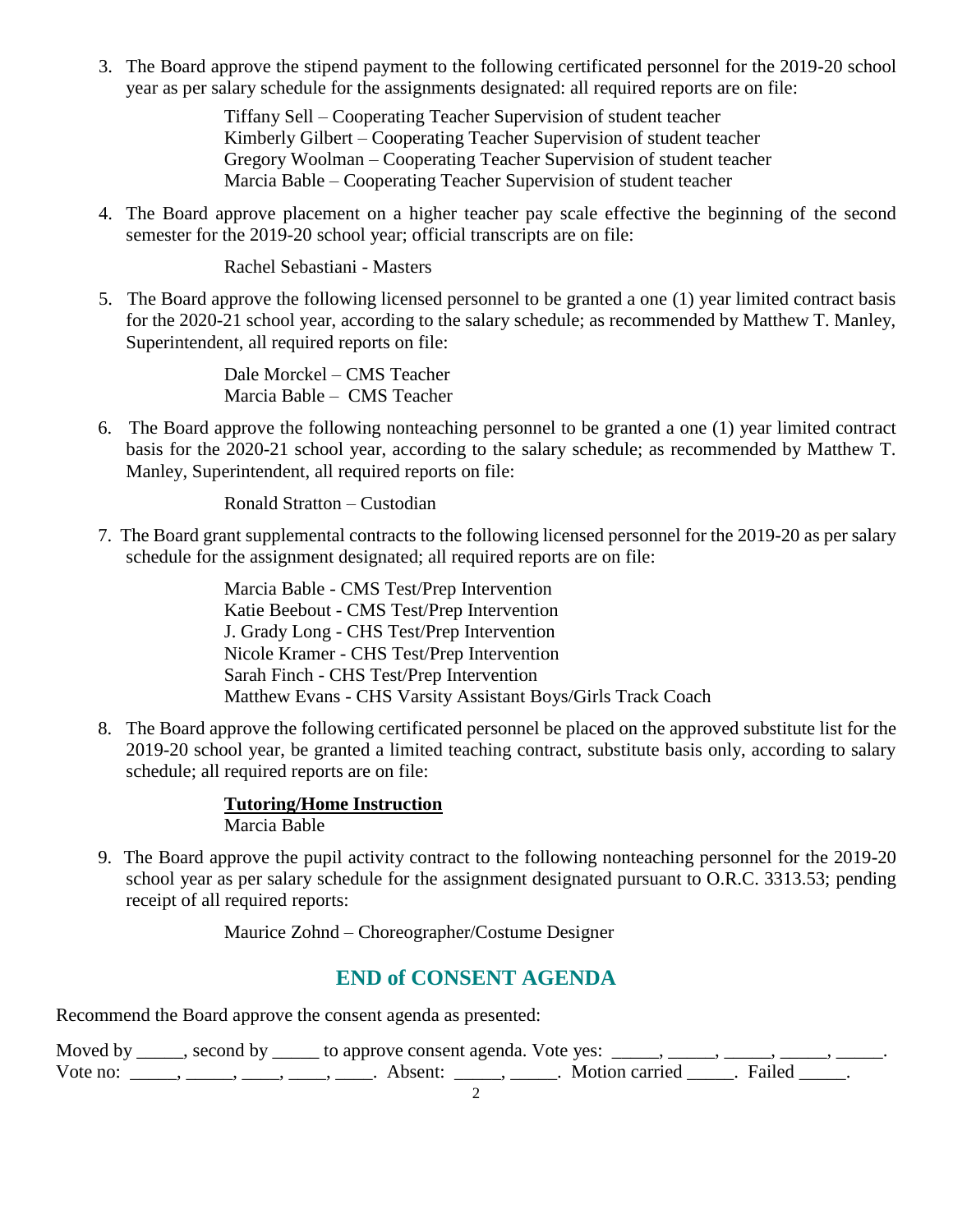3. The Board approve the stipend payment to the following certificated personnel for the 2019-20 school year as per salary schedule for the assignments designated: all required reports are on file:

> Tiffany Sell – Cooperating Teacher Supervision of student teacher Kimberly Gilbert – Cooperating Teacher Supervision of student teacher Gregory Woolman – Cooperating Teacher Supervision of student teacher Marcia Bable – Cooperating Teacher Supervision of student teacher

4. The Board approve placement on a higher teacher pay scale effective the beginning of the second semester for the 2019-20 school year; official transcripts are on file:

Rachel Sebastiani - Masters

5. The Board approve the following licensed personnel to be granted a one (1) year limited contract basis for the 2020-21 school year, according to the salary schedule; as recommended by Matthew T. Manley, Superintendent, all required reports on file:

> Dale Morckel – CMS Teacher Marcia Bable – CMS Teacher

6. The Board approve the following nonteaching personnel to be granted a one (1) year limited contract basis for the 2020-21 school year, according to the salary schedule; as recommended by Matthew T. Manley, Superintendent, all required reports on file:

Ronald Stratton – Custodian

 7. The Board grant supplemental contracts to the following licensed personnel for the 2019-20 as per salary schedule for the assignment designated; all required reports are on file:

> Marcia Bable - CMS Test/Prep Intervention Katie Beebout - CMS Test/Prep Intervention J. Grady Long - CHS Test/Prep Intervention Nicole Kramer - CHS Test/Prep Intervention Sarah Finch - CHS Test/Prep Intervention Matthew Evans - CHS Varsity Assistant Boys/Girls Track Coach

 8. The Board approve the following certificated personnel be placed on the approved substitute list for the 2019-20 school year, be granted a limited teaching contract, substitute basis only, according to salary schedule; all required reports are on file:

#### **Tutoring/Home Instruction**

Marcia Bable

 9. The Board approve the pupil activity contract to the following nonteaching personnel for the 2019-20 school year as per salary schedule for the assignment designated pursuant to O.R.C. 3313.53; pending receipt of all required reports:

Maurice Zohnd – Choreographer/Costume Designer

## **END of CONSENT AGENDA**

Recommend the Board approve the consent agenda as presented:

|          | Moved by _____, second by _____ to approve consent agenda. Vote yes: _____, _____, _____, _____ |                           |  |
|----------|-------------------------------------------------------------------------------------------------|---------------------------|--|
| Vote no: | Absent:                                                                                         | . Motion carried . Failed |  |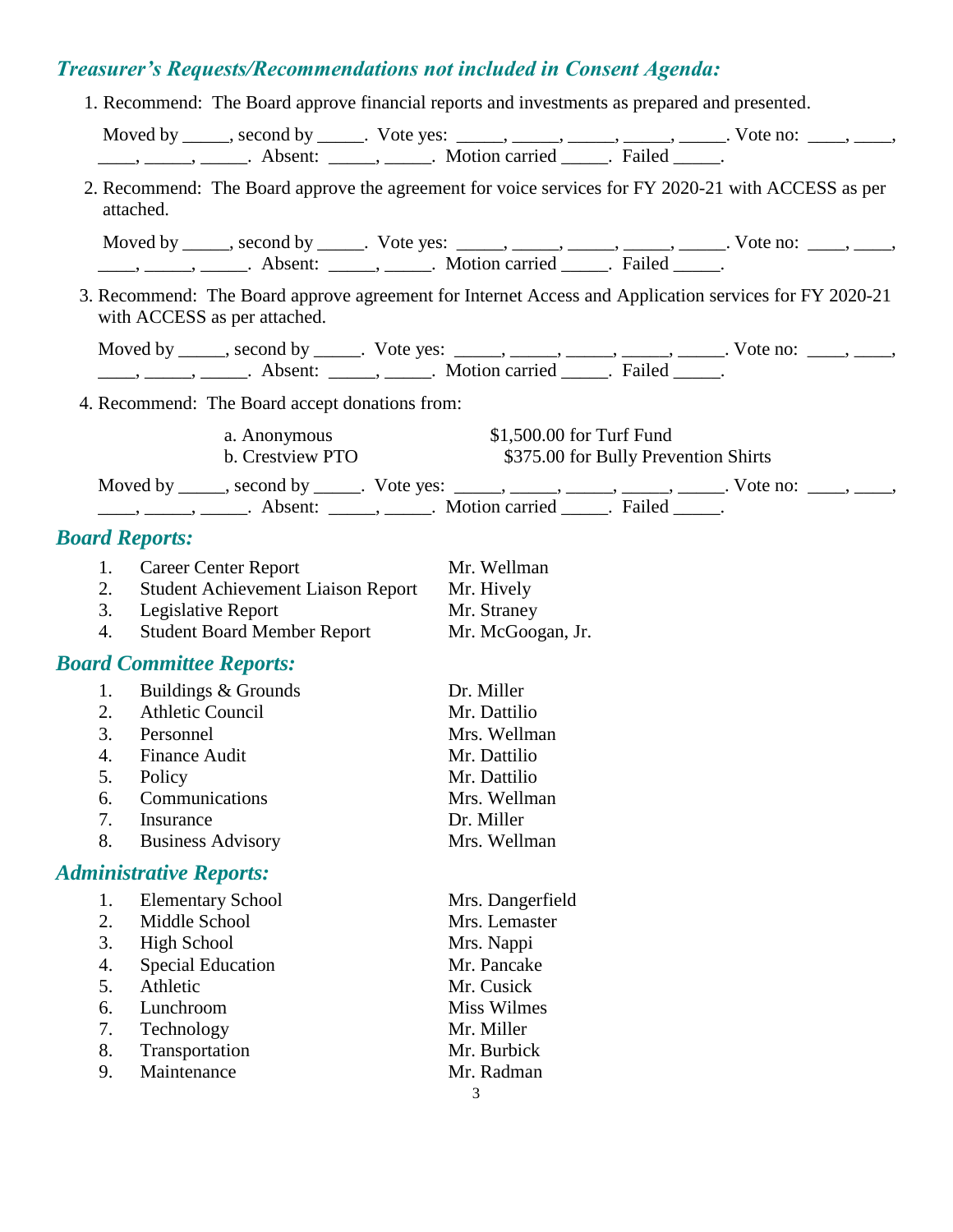# *Treasurer's Requests/Recommendations not included in Consent Agenda:*

|                  | 1. Recommend: The Board approve financial reports and investments as prepared and presented.                                                                                                                                                                                                                                                                                                                                |                                      |  |
|------------------|-----------------------------------------------------------------------------------------------------------------------------------------------------------------------------------------------------------------------------------------------------------------------------------------------------------------------------------------------------------------------------------------------------------------------------|--------------------------------------|--|
|                  | Moved by _____, second by _____. Vote yes: _____, _____, _____, _____, _____. Vote no: ____, _____,                                                                                                                                                                                                                                                                                                                         |                                      |  |
|                  | $\frac{1}{\sqrt{1-\frac{1}{2}}}, \frac{1}{\sqrt{1-\frac{1}{2}}}.$ Absent: $\frac{1}{\sqrt{1-\frac{1}{2}}}.$ Motion carried $\frac{1}{\sqrt{1-\frac{1}{2}}}.$ Failed $\frac{1}{\sqrt{1-\frac{1}{2}}}$ .                                                                                                                                                                                                                      |                                      |  |
|                  | 2. Recommend: The Board approve the agreement for voice services for FY 2020-21 with ACCESS as per<br>attached.                                                                                                                                                                                                                                                                                                             |                                      |  |
|                  | Moved by _____, second by _____. Vote yes: _____, _____, _____, _____, _____. Vote no: ____, _____,                                                                                                                                                                                                                                                                                                                         |                                      |  |
|                  | $\frac{1}{1}, \frac{1}{1}, \frac{1}{1}, \frac{1}{1}, \frac{1}{1}, \frac{1}{1}, \frac{1}{1}, \frac{1}{1}, \frac{1}{1}, \frac{1}{1}, \frac{1}{1}, \frac{1}{1}, \frac{1}{1}, \frac{1}{1}, \frac{1}{1}, \frac{1}{1}, \frac{1}{1}, \frac{1}{1}, \frac{1}{1}, \frac{1}{1}, \frac{1}{1}, \frac{1}{1}, \frac{1}{1}, \frac{1}{1}, \frac{1}{1}, \frac{1}{1}, \frac{1}{1}, \frac{1}{1}, \frac{1}{1}, \frac{1}{1}, \frac{1}{1}, \frac{$ |                                      |  |
|                  | 3. Recommend: The Board approve agreement for Internet Access and Application services for FY 2020-21<br>with ACCESS as per attached.                                                                                                                                                                                                                                                                                       |                                      |  |
|                  | Moved by _____, second by _____. Vote yes: _____, _____, _____, _____, _____. Vote no: ____, _____,                                                                                                                                                                                                                                                                                                                         |                                      |  |
|                  |                                                                                                                                                                                                                                                                                                                                                                                                                             |                                      |  |
|                  | 4. Recommend: The Board accept donations from:                                                                                                                                                                                                                                                                                                                                                                              |                                      |  |
|                  | a. Anonymous                                                                                                                                                                                                                                                                                                                                                                                                                | \$1,500.00 for Turf Fund             |  |
|                  | b. Crestview PTO                                                                                                                                                                                                                                                                                                                                                                                                            | \$375.00 for Bully Prevention Shirts |  |
|                  | Moved by _____, second by _____. Vote yes: _____, _____, _____, _____, _____. Vote no: ____, _____,                                                                                                                                                                                                                                                                                                                         |                                      |  |
|                  | <b>Board Reports:</b>                                                                                                                                                                                                                                                                                                                                                                                                       |                                      |  |
| 1.               | <b>Career Center Report</b>                                                                                                                                                                                                                                                                                                                                                                                                 | Mr. Wellman                          |  |
| 2.               | Student Achievement Liaison Report                                                                                                                                                                                                                                                                                                                                                                                          | Mr. Hively                           |  |
| 3.               | Legislative Report                                                                                                                                                                                                                                                                                                                                                                                                          | Mr. Straney                          |  |
| $\overline{4}$ . | <b>Student Board Member Report</b>                                                                                                                                                                                                                                                                                                                                                                                          | Mr. McGoogan, Jr.                    |  |
|                  | <b>Board Committee Reports:</b>                                                                                                                                                                                                                                                                                                                                                                                             |                                      |  |
| 1.               | Buildings & Grounds                                                                                                                                                                                                                                                                                                                                                                                                         | Dr. Miller                           |  |
| 2.               | <b>Athletic Council</b>                                                                                                                                                                                                                                                                                                                                                                                                     | Mr. Dattilio                         |  |
| 3.               | Personnel                                                                                                                                                                                                                                                                                                                                                                                                                   | Mrs. Wellman                         |  |
| $\overline{4}$ . | <b>Finance Audit</b>                                                                                                                                                                                                                                                                                                                                                                                                        | Mr. Dattilio                         |  |
| 5.               | Policy                                                                                                                                                                                                                                                                                                                                                                                                                      | Mr. Dattilio                         |  |
| 6.               | Communications                                                                                                                                                                                                                                                                                                                                                                                                              | Mrs. Wellman                         |  |
| 7.               | Insurance                                                                                                                                                                                                                                                                                                                                                                                                                   | Dr. Miller                           |  |
| 8.               | <b>Business Advisory</b>                                                                                                                                                                                                                                                                                                                                                                                                    | Mrs. Wellman                         |  |

# *Administrative Reports:*

|    | <b>Elementary School</b> | Mrs. Dangerfield |
|----|--------------------------|------------------|
| 2. | Middle School            | Mrs. Lemaster    |
| 3. | High School              | Mrs. Nappi       |
| 4. | <b>Special Education</b> | Mr. Pancake      |
| 5. | Athletic                 | Mr. Cusick       |
| 6. | Lunchroom                | Miss Wilmes      |
| 7. | Technology               | Mr. Miller       |
| 8. | Transportation           | Mr. Burbick      |
| 9. | Maintenance              | Mr. Radman       |
|    |                          |                  |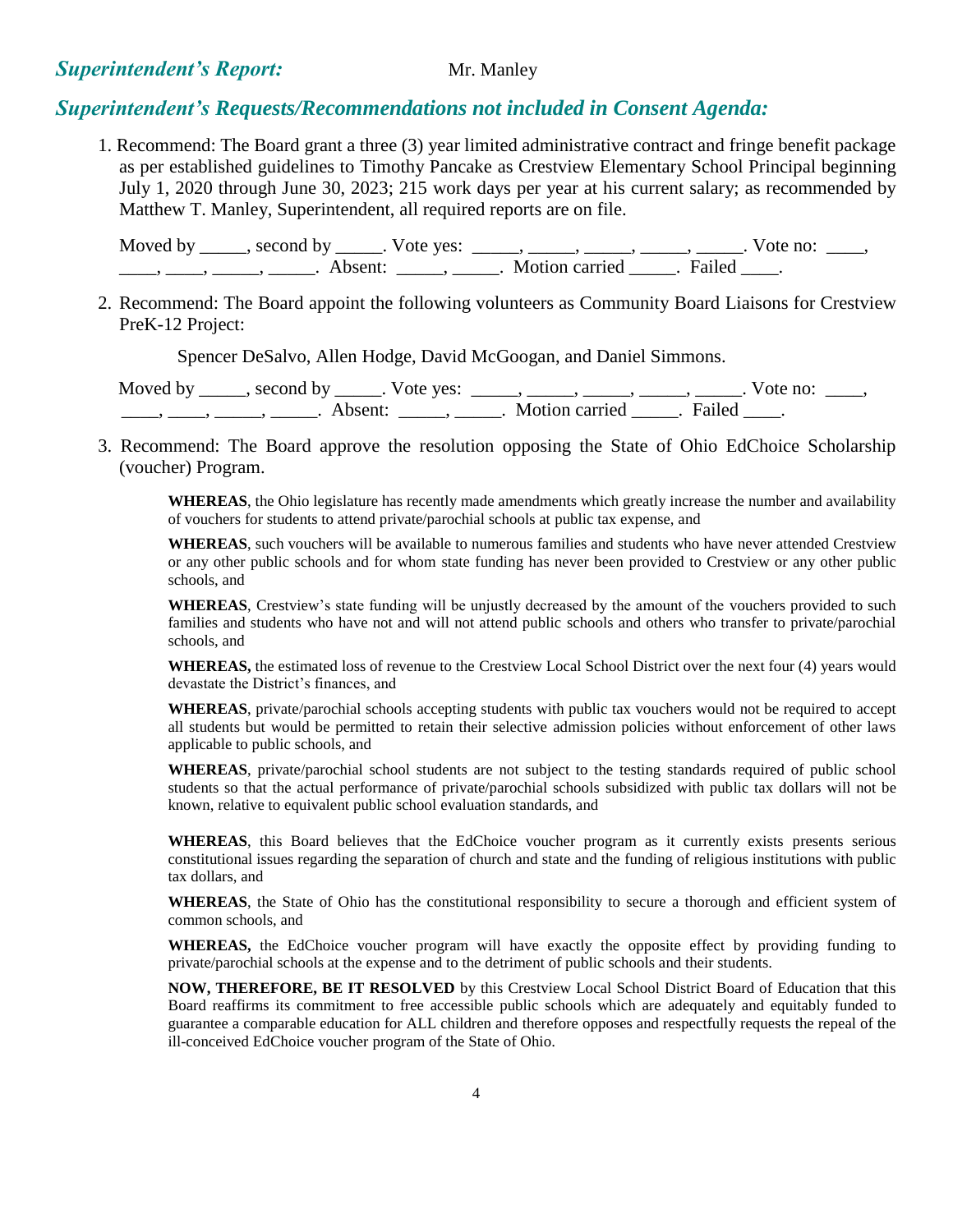#### **Superintendent's Report:** Mr. Manley

#### *Superintendent's Requests/Recommendations not included in Consent Agenda:*

1. Recommend: The Board grant a three (3) year limited administrative contract and fringe benefit package as per established guidelines to Timothy Pancake as Crestview Elementary School Principal beginning July 1, 2020 through June 30, 2023; 215 work days per year at his current salary; as recommended by Matthew T. Manley, Superintendent, all required reports are on file.

Moved by \_\_\_\_\_, second by \_\_\_\_\_. Vote yes: \_\_\_\_\_, \_\_\_\_\_, \_\_\_\_\_, \_\_\_\_\_, \_\_\_\_. Vote no: \_\_\_\_, \_\_\_\_\_, \_\_\_\_\_, \_\_\_\_\_\_\_. Absent: \_\_\_\_\_\_, \_\_\_\_\_\_. Motion carried \_\_\_\_\_. Failed \_\_\_\_.

2. Recommend: The Board appoint the following volunteers as Community Board Liaisons for Crestview PreK-12 Project:

Spencer DeSalvo, Allen Hodge, David McGoogan, and Daniel Simmons.

Moved by \_\_\_\_\_, second by \_\_\_\_\_. Vote yes:  $\_\_\_\_\_\_\_\_\_\_\_$  \_\_\_\_, \_\_\_\_\_, \_\_\_\_\_, \_\_\_\_. Vote no:  $\_\_\_\_\_\$ \_\_\_\_\_, \_\_\_\_\_, \_\_\_\_\_\_\_. Absent: \_\_\_\_\_\_, \_\_\_\_\_. Motion carried \_\_\_\_\_. Failed \_\_\_\_.

 3. Recommend: The Board approve the resolution opposing the State of Ohio EdChoice Scholarship (voucher) Program.

**WHEREAS**, the Ohio legislature has recently made amendments which greatly increase the number and availability of vouchers for students to attend private/parochial schools at public tax expense, and

**WHEREAS**, such vouchers will be available to numerous families and students who have never attended Crestview or any other public schools and for whom state funding has never been provided to Crestview or any other public schools, and

**WHEREAS**, Crestview's state funding will be unjustly decreased by the amount of the vouchers provided to such families and students who have not and will not attend public schools and others who transfer to private/parochial schools, and

**WHEREAS,** the estimated loss of revenue to the Crestview Local School District over the next four (4) years would devastate the District's finances, and

**WHEREAS**, private/parochial schools accepting students with public tax vouchers would not be required to accept all students but would be permitted to retain their selective admission policies without enforcement of other laws applicable to public schools, and

**WHEREAS**, private/parochial school students are not subject to the testing standards required of public school students so that the actual performance of private/parochial schools subsidized with public tax dollars will not be known, relative to equivalent public school evaluation standards, and

**WHEREAS**, this Board believes that the EdChoice voucher program as it currently exists presents serious constitutional issues regarding the separation of church and state and the funding of religious institutions with public tax dollars, and

**WHEREAS**, the State of Ohio has the constitutional responsibility to secure a thorough and efficient system of common schools, and

**WHEREAS,** the EdChoice voucher program will have exactly the opposite effect by providing funding to private/parochial schools at the expense and to the detriment of public schools and their students.

**NOW, THEREFORE, BE IT RESOLVED** by this Crestview Local School District Board of Education that this Board reaffirms its commitment to free accessible public schools which are adequately and equitably funded to guarantee a comparable education for ALL children and therefore opposes and respectfully requests the repeal of the ill-conceived EdChoice voucher program of the State of Ohio.